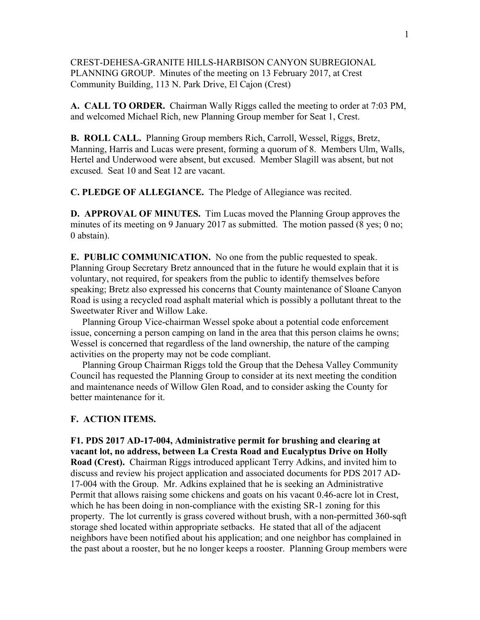# CREST-DEHESA-GRANITE HILLS-HARBISON CANYON SUBREGIONAL PLANNING GROUP. Minutes of the meeting on 13 February 2017, at Crest Community Building, 113 N. Park Drive, El Cajon (Crest)

**A. CALL TO ORDER.** Chairman Wally Riggs called the meeting to order at 7:03 PM, and welcomed Michael Rich, new Planning Group member for Seat 1, Crest.

**B. ROLL CALL.** Planning Group members Rich, Carroll, Wessel, Riggs, Bretz, Manning, Harris and Lucas were present, forming a quorum of 8. Members Ulm, Walls, Hertel and Underwood were absent, but excused. Member Slagill was absent, but not excused. Seat 10 and Seat 12 are vacant.

**C. PLEDGE OF ALLEGIANCE.** The Pledge of Allegiance was recited.

**D. APPROVAL OF MINUTES.** Tim Lucas moved the Planning Group approves the minutes of its meeting on 9 January 2017 as submitted. The motion passed (8 yes; 0 no; 0 abstain).

**E. PUBLIC COMMUNICATION.** No one from the public requested to speak. Planning Group Secretary Bretz announced that in the future he would explain that it is voluntary, not required, for speakers from the public to identify themselves before speaking; Bretz also expressed his concerns that County maintenance of Sloane Canyon Road is using a recycled road asphalt material which is possibly a pollutant threat to the Sweetwater River and Willow Lake.

 Planning Group Vice-chairman Wessel spoke about a potential code enforcement issue, concerning a person camping on land in the area that this person claims he owns; Wessel is concerned that regardless of the land ownership, the nature of the camping activities on the property may not be code compliant.

 Planning Group Chairman Riggs told the Group that the Dehesa Valley Community Council has requested the Planning Group to consider at its next meeting the condition and maintenance needs of Willow Glen Road, and to consider asking the County for better maintenance for it.

# **F. ACTION ITEMS.**

**F1. PDS 2017 AD-17-004, Administrative permit for brushing and clearing at vacant lot, no address, between La Cresta Road and Eucalyptus Drive on Holly Road (Crest).** Chairman Riggs introduced applicant Terry Adkins, and invited him to discuss and review his project application and associated documents for PDS 2017 AD-17-004 with the Group. Mr. Adkins explained that he is seeking an Administrative Permit that allows raising some chickens and goats on his vacant 0.46-acre lot in Crest, which he has been doing in non-compliance with the existing SR-1 zoning for this property. The lot currently is grass covered without brush, with a non-permitted 360-sqft storage shed located within appropriate setbacks. He stated that all of the adjacent neighbors have been notified about his application; and one neighbor has complained in the past about a rooster, but he no longer keeps a rooster. Planning Group members were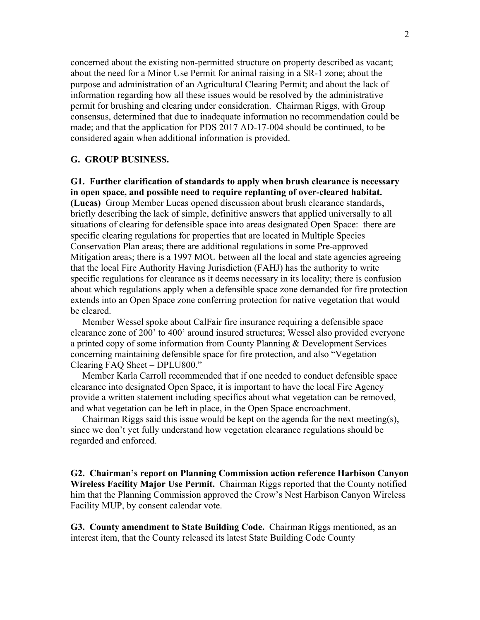concerned about the existing non-permitted structure on property described as vacant; about the need for a Minor Use Permit for animal raising in a SR-1 zone; about the purpose and administration of an Agricultural Clearing Permit; and about the lack of information regarding how all these issues would be resolved by the administrative permit for brushing and clearing under consideration. Chairman Riggs, with Group consensus, determined that due to inadequate information no recommendation could be made; and that the application for PDS 2017 AD-17-004 should be continued, to be considered again when additional information is provided.

### **G. GROUP BUSINESS.**

**G1. Further clarification of standards to apply when brush clearance is necessary in open space, and possible need to require replanting of over-cleared habitat. (Lucas)** Group Member Lucas opened discussion about brush clearance standards, briefly describing the lack of simple, definitive answers that applied universally to all situations of clearing for defensible space into areas designated Open Space: there are specific clearing regulations for properties that are located in Multiple Species Conservation Plan areas; there are additional regulations in some Pre-approved Mitigation areas; there is a 1997 MOU between all the local and state agencies agreeing that the local Fire Authority Having Jurisdiction (FAHJ) has the authority to write specific regulations for clearance as it deems necessary in its locality; there is confusion about which regulations apply when a defensible space zone demanded for fire protection

extends into an Open Space zone conferring protection for native vegetation that would be cleared. Member Wessel spoke about CalFair fire insurance requiring a defensible space

clearance zone of 200' to 400' around insured structures; Wessel also provided everyone a printed copy of some information from County Planning & Development Services concerning maintaining defensible space for fire protection, and also "Vegetation Clearing FAQ Sheet – DPLU800."

 Member Karla Carroll recommended that if one needed to conduct defensible space clearance into designated Open Space, it is important to have the local Fire Agency provide a written statement including specifics about what vegetation can be removed, and what vegetation can be left in place, in the Open Space encroachment.

 Chairman Riggs said this issue would be kept on the agenda for the next meeting(s), since we don't yet fully understand how vegetation clearance regulations should be regarded and enforced.

**G2. Chairman's report on Planning Commission action reference Harbison Canyon Wireless Facility Major Use Permit.** Chairman Riggs reported that the County notified him that the Planning Commission approved the Crow's Nest Harbison Canyon Wireless Facility MUP, by consent calendar vote.

**G3. County amendment to State Building Code.** Chairman Riggs mentioned, as an interest item, that the County released its latest State Building Code County